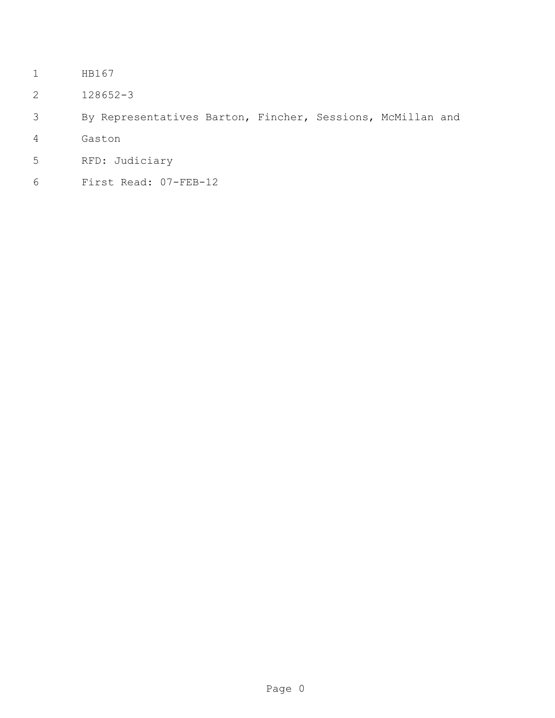- HB167
- 128652-3
- By Representatives Barton, Fincher, Sessions, McMillan and
- Gaston
- RFD: Judiciary
- First Read: 07-FEB-12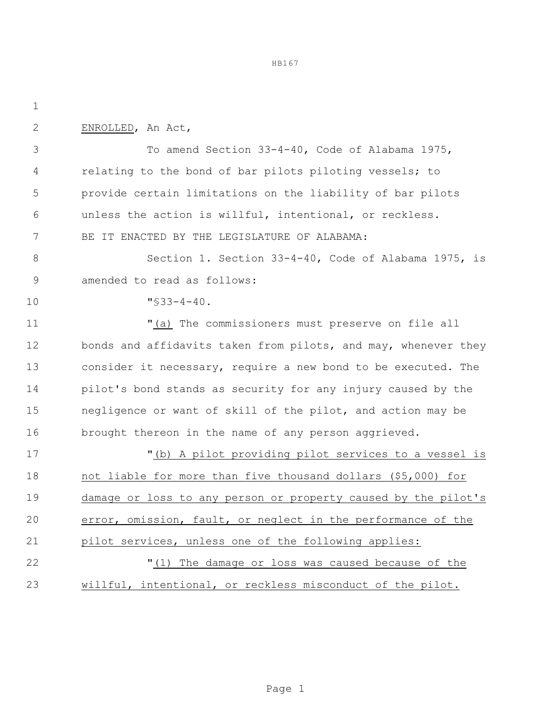HB167

| ٠   |  |
|-----|--|
| . . |  |

ENROLLED, An Act,

 To amend Section 33-4-40, Code of Alabama 1975, 4 relating to the bond of bar pilots piloting vessels; to provide certain limitations on the liability of bar pilots unless the action is willful, intentional, or reckless. BE IT ENACTED BY THE LEGISLATURE OF ALABAMA:

 Section 1. Section 33-4-40, Code of Alabama 1975, is amended to read as follows:

"§33-4-40.

 "(a) The commissioners must preserve on file all 12 bonds and affidavits taken from pilots, and may, whenever they consider it necessary, require a new bond to be executed. The pilot's bond stands as security for any injury caused by the negligence or want of skill of the pilot, and action may be 16 brought thereon in the name of any person aggrieved.

 "(b) A pilot providing pilot services to a vessel is not liable for more than five thousand dollars (\$5,000) for damage or loss to any person or property caused by the pilot's error, omission, fault, or neglect in the performance of the pilot services, unless one of the following applies: "(1) The damage or loss was caused because of the willful, intentional, or reckless misconduct of the pilot.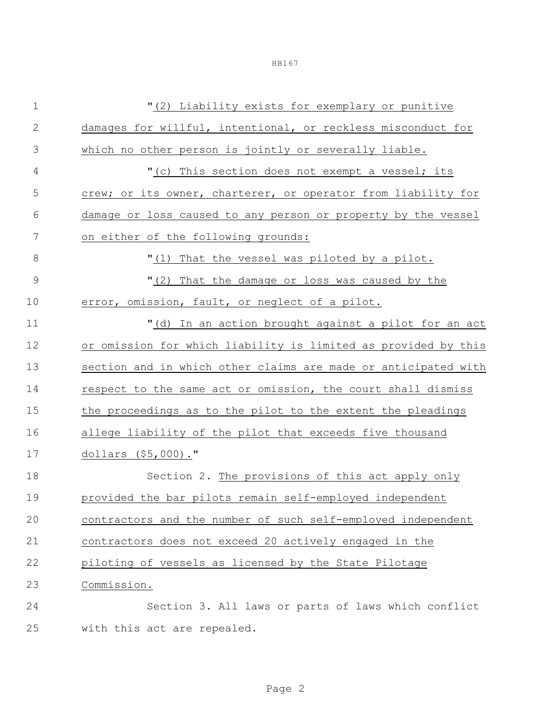|--|--|--|

| $\mathbf 1$    | "(2) Liability exists for exemplary or punitive                |
|----------------|----------------------------------------------------------------|
| $\mathbf{2}$   | damages for willful, intentional, or reckless misconduct for   |
| $\mathfrak{Z}$ | which no other person is jointly or severally liable.          |
| $\overline{4}$ | "(c) This section does not exempt a vessel; its                |
| 5              | crew; or its owner, charterer, or operator from liability for  |
| 6              | damage or loss caused to any person or property by the vessel  |
| 7              | on either of the following grounds:                            |
| 8              | "(1) That the vessel was piloted by a pilot.                   |
| $\mathcal{G}$  | "(2) That the damage or loss was caused by the                 |
| 10             | error, omission, fault, or neglect of a pilot.                 |
| 11             | "(d) In an action brought against a pilot for an act           |
| 12             | or omission for which liability is limited as provided by this |
| 13             | section and in which other claims are made or anticipated with |
| 14             | respect to the same act or omission, the court shall dismiss   |
| 15             | the proceedings as to the pilot to the extent the pleadings    |
| 16             | allege liability of the pilot that exceeds five thousand       |
| 17             | dollars (\$5,000)."                                            |
| 18             | Section 2. The provisions of this act apply only               |
| 19             | provided the bar pilots remain self-employed independent       |
| 20             | contractors and the number of such self-employed independent   |
| 21             | contractors does not exceed 20 actively engaged in the         |
| 22             | piloting of vessels as licensed by the State Pilotage          |
| 23             | Commission.                                                    |
| 24             | Section 3. All laws or parts of laws which conflict            |
| 25             | with this act are repealed.                                    |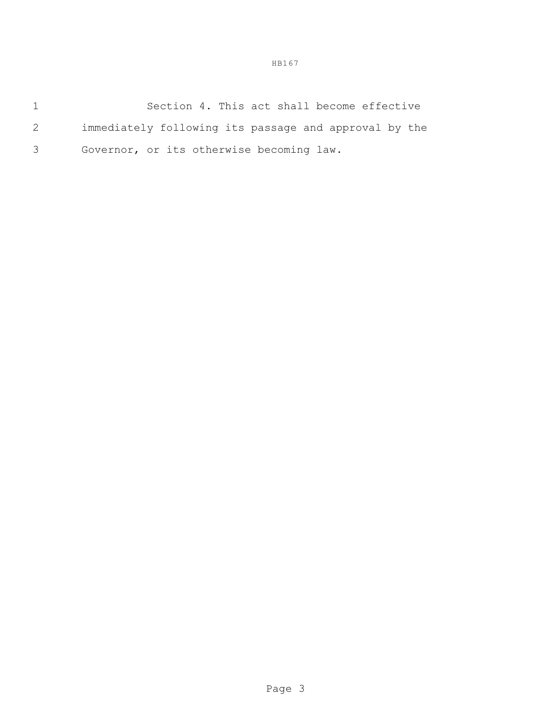HB167

| Section 4. This act shall become effective            |
|-------------------------------------------------------|
| immediately following its passage and approval by the |
| Governor, or its otherwise becoming law.              |